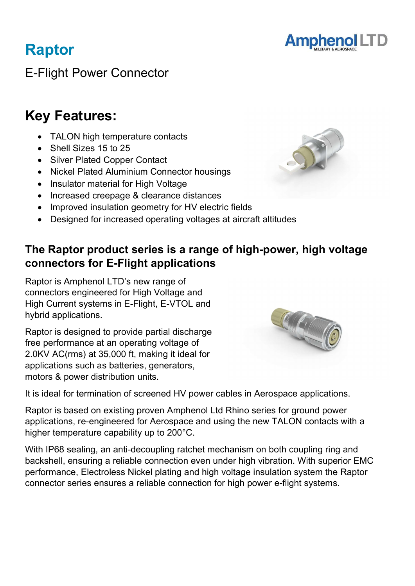

E-Flight Power Connector

## Key Features:

Raptor

- TALON high temperature contacts
- Shell Sizes 15 to 25
- Silver Plated Copper Contact
- Nickel Plated Aluminium Connector housings
- Insulator material for High Voltage
- Increased creepage & clearance distances
- Improved insulation geometry for HV electric fields
- Designed for increased operating voltages at aircraft altitudes

### The Raptor product series is a range of high-power, high voltage connectors for E-Flight applications

Raptor is Amphenol LTD's new range of connectors engineered for High Voltage and High Current systems in E-Flight, E-VTOL and hybrid applications.

Raptor is designed to provide partial discharge free performance at an operating voltage of 2.0KV AC(rms) at 35,000 ft, making it ideal for applications such as batteries, generators, motors & power distribution units.



It is ideal for termination of screened HV power cables in Aerospace applications.

Raptor is based on existing proven Amphenol Ltd Rhino series for ground power applications, re-engineered for Aerospace and using the new TALON contacts with a higher temperature capability up to 200°C.

With IP68 sealing, an anti-decoupling ratchet mechanism on both coupling ring and backshell, ensuring a reliable connection even under high vibration. With superior EMC performance, Electroless Nickel plating and high voltage insulation system the Raptor connector series ensures a reliable connection for high power e-flight systems.